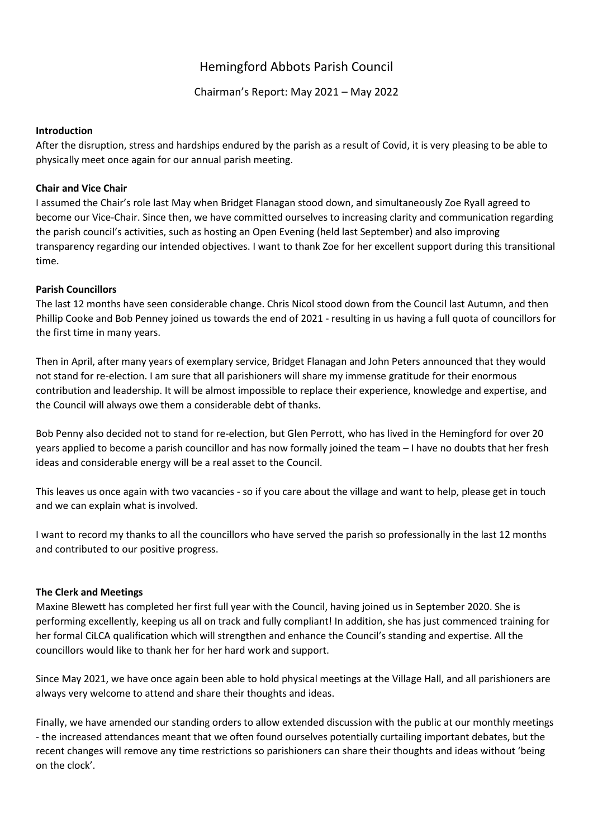# Hemingford Abbots Parish Council

Chairman's Report: May 2021 – May 2022

#### **Introduction**

After the disruption, stress and hardships endured by the parish as a result of Covid, it is very pleasing to be able to physically meet once again for our annual parish meeting.

## **Chair and Vice Chair**

I assumed the Chair's role last May when Bridget Flanagan stood down, and simultaneously Zoe Ryall agreed to become our Vice-Chair. Since then, we have committed ourselves to increasing clarity and communication regarding the parish council's activities, such as hosting an Open Evening (held last September) and also improving transparency regarding our intended objectives. I want to thank Zoe for her excellent support during this transitional time.

### **Parish Councillors**

The last 12 months have seen considerable change. Chris Nicol stood down from the Council last Autumn, and then Phillip Cooke and Bob Penney joined us towards the end of 2021 - resulting in us having a full quota of councillors for the first time in many years.

Then in April, after many years of exemplary service, Bridget Flanagan and John Peters announced that they would not stand for re-election. I am sure that all parishioners will share my immense gratitude for their enormous contribution and leadership. It will be almost impossible to replace their experience, knowledge and expertise, and the Council will always owe them a considerable debt of thanks.

Bob Penny also decided not to stand for re-election, but Glen Perrott, who has lived in the Hemingford for over 20 years applied to become a parish councillor and has now formally joined the team – I have no doubts that her fresh ideas and considerable energy will be a real asset to the Council.

This leaves us once again with two vacancies - so if you care about the village and want to help, please get in touch and we can explain what is involved.

I want to record my thanks to all the councillors who have served the parish so professionally in the last 12 months and contributed to our positive progress.

#### **The Clerk and Meetings**

Maxine Blewett has completed her first full year with the Council, having joined us in September 2020. She is performing excellently, keeping us all on track and fully compliant! In addition, she has just commenced training for her formal CiLCA qualification which will strengthen and enhance the Council's standing and expertise. All the councillors would like to thank her for her hard work and support.

Since May 2021, we have once again been able to hold physical meetings at the Village Hall, and all parishioners are always very welcome to attend and share their thoughts and ideas.

Finally, we have amended our standing orders to allow extended discussion with the public at our monthly meetings - the increased attendances meant that we often found ourselves potentially curtailing important debates, but the recent changes will remove any time restrictions so parishioners can share their thoughts and ideas without 'being on the clock'.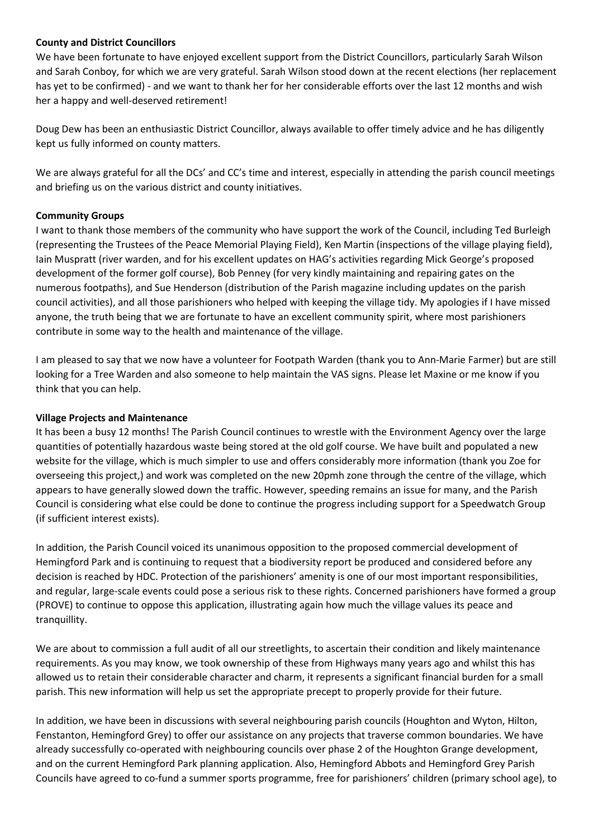# **County and District Councillors**

We have been fortunate to have enjoyed excellent support from the District Councillors, particularly Sarah Wilson and Sarah Conboy, for which we are very grateful. Sarah Wilson stood down at the recent elections (her replacement has yet to be confirmed) - and we want to thank her for her considerable efforts over the last 12 months and wish her a happy and well-deserved retirement!

Doug Dew has been an enthusiastic District Councillor, always available to offer timely advice and he has diligently kept us fully informed on county matters.

We are always grateful for all the DCs' and CC's time and interest, especially in attending the parish council meetings and briefing us on the various district and county initiatives.

# **Community Groups**

I want to thank those members of the community who have support the work of the Council, including Ted Burleigh (representing the Trustees of the Peace Memorial Playing Field), Ken Martin (inspections of the village playing field), Iain Muspratt (river warden, and for his excellent updates on HAG's activities regarding Mick George's proposed development of the former golf course), Bob Penney (for very kindly maintaining and repairing gates on the numerous footpaths), and Sue Henderson (distribution of the Parish magazine including updates on the parish council activities), and all those parishioners who helped with keeping the village tidy. My apologies if I have missed anyone, the truth being that we are fortunate to have an excellent community spirit, where most parishioners contribute in some way to the health and maintenance of the village.

I am pleased to say that we now have a volunteer for Footpath Warden (thank you to Ann-Marie Farmer) but are still looking for a Tree Warden and also someone to help maintain the VAS signs. Please let Maxine or me know if you think that you can help.

### **Village Projects and Maintenance**

It has been a busy 12 months! The Parish Council continues to wrestle with the Environment Agency over the large quantities of potentially hazardous waste being stored at the old golf course. We have built and populated a new website for the village, which is much simpler to use and offers considerably more information (thank you Zoe for overseeing this project,) and work was completed on the new 20pmh zone through the centre of the village, which appears to have generally slowed down the traffic. However, speeding remains an issue for many, and the Parish Council is considering what else could be done to continue the progress including support for a Speedwatch Group (if sufficient interest exists).

In addition, the Parish Council voiced its unanimous opposition to the proposed commercial development of Hemingford Park and is continuing to request that a biodiversity report be produced and considered before any decision is reached by HDC. Protection of the parishioners' amenity is one of our most important responsibilities, and regular, large-scale events could pose a serious risk to these rights. Concerned parishioners have formed a group (PROVE) to continue to oppose this application, illustrating again how much the village values its peace and tranquillity.

We are about to commission a full audit of all our streetlights, to ascertain their condition and likely maintenance requirements. As you may know, we took ownership of these from Highways many years ago and whilst this has allowed us to retain their considerable character and charm, it represents a significant financial burden for a small parish. This new information will help us set the appropriate precept to properly provide for their future.

In addition, we have been in discussions with several neighbouring parish councils (Houghton and Wyton, Hilton, Fenstanton, Hemingford Grey) to offer our assistance on any projects that traverse common boundaries. We have already successfully co-operated with neighbouring councils over phase 2 of the Houghton Grange development, and on the current Hemingford Park planning application. Also, Hemingford Abbots and Hemingford Grey Parish Councils have agreed to co-fund a summer sports programme, free for parishioners' children (primary school age), to